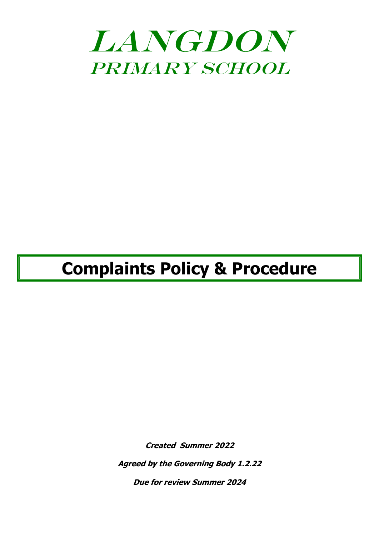

# **Complaints Policy & Procedure**

**Created Summer 2022**

**Agreed by the Governing Body 1.2.22**

**Due for review Summer 2024**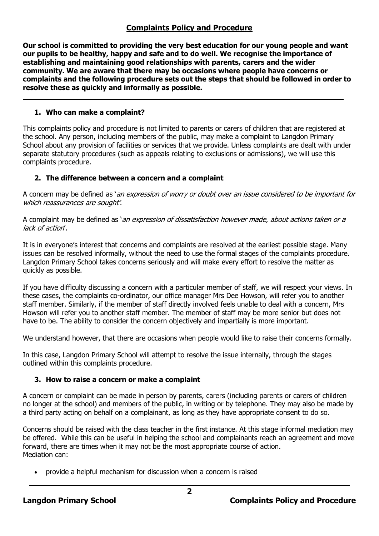# **Complaints Policy and Procedure**

**Our school is committed to providing the very best education for our young people and want our pupils to be healthy, happy and safe and to do well. We recognise the importance of establishing and maintaining good relationships with parents, carers and the wider community. We are aware that there may be occasions where people have concerns or complaints and the following procedure sets out the steps that should be followed in order to resolve these as quickly and informally as possible.**

# **1. Who can make a complaint?**

This complaints policy and procedure is not limited to parents or carers of children that are registered at the school. Any person, including members of the public, may make a complaint to Langdon Primary School about any provision of facilities or services that we provide. Unless complaints are dealt with under separate statutory procedures (such as appeals relating to exclusions or admissions), we will use this complaints procedure.

# **2. The difference between a concern and a complaint**

A concern may be defined as 'an expression of worry or doubt over an issue considered to be important for which reassurances are sought'.

A complaint may be defined as '*an expression of dissatisfaction however made, about actions taken or a* lack of action'.

It is in everyone's interest that concerns and complaints are resolved at the earliest possible stage. Many issues can be resolved informally, without the need to use the formal stages of the complaints procedure. Langdon Primary School takes concerns seriously and will make every effort to resolve the matter as quickly as possible.

If you have difficulty discussing a concern with a particular member of staff, we will respect your views. In these cases, the complaints co-ordinator, our office manager Mrs Dee Howson, will refer you to another staff member. Similarly, if the member of staff directly involved feels unable to deal with a concern, Mrs Howson will refer you to another staff member. The member of staff may be more senior but does not have to be. The ability to consider the concern objectively and impartially is more important.

We understand however, that there are occasions when people would like to raise their concerns formally.

In this case, Langdon Primary School will attempt to resolve the issue internally, through the stages outlined within this complaints procedure.

# **3. How to raise a concern or make a complaint**

A concern or complaint can be made in person by parents, carers (including parents or carers of children no longer at the school) and members of the public, in writing or by telephone. They may also be made by a third party acting on behalf on a complainant, as long as they have appropriate consent to do so.

Concerns should be raised with the class teacher in the first instance. At this stage informal mediation may be offered. While this can be useful in helping the school and complainants reach an agreement and move forward, there are times when it may not be the most appropriate course of action. Mediation can:

• provide a helpful mechanism for discussion when a concern is raised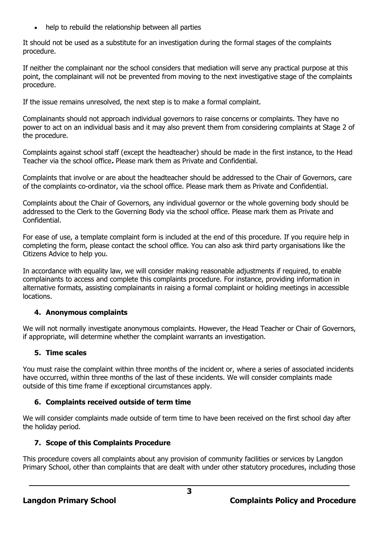help to rebuild the relationship between all parties

It should not be used as a substitute for an investigation during the formal stages of the complaints procedure.

If neither the complainant nor the school considers that mediation will serve any practical purpose at this point, the complainant will not be prevented from moving to the next investigative stage of the complaints procedure.

If the issue remains unresolved, the next step is to make a formal complaint.

Complainants should not approach individual governors to raise concerns or complaints. They have no power to act on an individual basis and it may also prevent them from considering complaints at Stage 2 of the procedure.

Complaints against school staff (except the headteacher) should be made in the first instance, to the Head Teacher via the school office**.** Please mark them as Private and Confidential.

Complaints that involve or are about the headteacher should be addressed to the Chair of Governors, care of the complaints co-ordinator, via the school office. Please mark them as Private and Confidential.

Complaints about the Chair of Governors, any individual governor or the whole governing body should be addressed to the Clerk to the Governing Body via the school office. Please mark them as Private and Confidential.

For ease of use, a template complaint form is included at the end of this procedure. If you require help in completing the form, please contact the school office. You can also ask third party organisations like the Citizens Advice to help you.

In accordance with equality law, we will consider making reasonable adjustments if required, to enable complainants to access and complete this complaints procedure. For instance, providing information in alternative formats, assisting complainants in raising a formal complaint or holding meetings in accessible locations.

# **4. Anonymous complaints**

We will not normally investigate anonymous complaints. However, the Head Teacher or Chair of Governors, if appropriate, will determine whether the complaint warrants an investigation.

# **5. Time scales**

You must raise the complaint within three months of the incident or, where a series of associated incidents have occurred, within three months of the last of these incidents. We will consider complaints made outside of this time frame if exceptional circumstances apply.

# **6. Complaints received outside of term time**

We will consider complaints made outside of term time to have been received on the first school day after the holiday period.

# **7. Scope of this Complaints Procedure**

This procedure covers all complaints about any provision of community facilities or services by Langdon Primary School, other than complaints that are dealt with under other statutory procedures, including those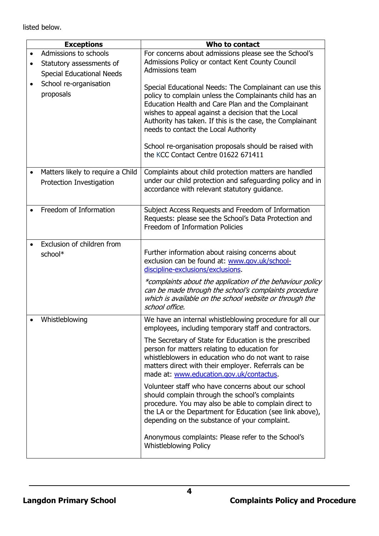listed below.

| <b>Exceptions</b>                                             | Who to contact                                                                                                                                                                                                                                                                                                                                                                                                                       |
|---------------------------------------------------------------|--------------------------------------------------------------------------------------------------------------------------------------------------------------------------------------------------------------------------------------------------------------------------------------------------------------------------------------------------------------------------------------------------------------------------------------|
| Admissions to schools                                         | For concerns about admissions please see the School's                                                                                                                                                                                                                                                                                                                                                                                |
| Statutory assessments of                                      | Admissions Policy or contact Kent County Council                                                                                                                                                                                                                                                                                                                                                                                     |
| <b>Special Educational Needs</b>                              | Admissions team                                                                                                                                                                                                                                                                                                                                                                                                                      |
| School re-organisation<br>proposals                           | Special Educational Needs: The Complainant can use this<br>policy to complain unless the Complainants child has an<br>Education Health and Care Plan and the Complainant<br>wishes to appeal against a decision that the Local<br>Authority has taken. If this is the case, the Complainant<br>needs to contact the Local Authority<br>School re-organisation proposals should be raised with<br>the KCC Contact Centre 01622 671411 |
|                                                               |                                                                                                                                                                                                                                                                                                                                                                                                                                      |
| Matters likely to require a Child<br>Protection Investigation | Complaints about child protection matters are handled<br>under our child protection and safeguarding policy and in<br>accordance with relevant statutory quidance.                                                                                                                                                                                                                                                                   |
| Freedom of Information                                        | Subject Access Requests and Freedom of Information<br>Requests: please see the School's Data Protection and<br>Freedom of Information Policies                                                                                                                                                                                                                                                                                       |
| Exclusion of children from<br>school*                         | Further information about raising concerns about<br>exclusion can be found at: www.gov.uk/school-<br>discipline-exclusions/exclusions.<br>*complaints about the application of the behaviour policy<br>can be made through the school's complaints procedure                                                                                                                                                                         |
|                                                               | which is available on the school website or through the<br>school office.                                                                                                                                                                                                                                                                                                                                                            |
| Whistleblowing                                                | We have an internal whistleblowing procedure for all our<br>employees, including temporary staff and contractors.                                                                                                                                                                                                                                                                                                                    |
|                                                               | The Secretary of State for Education is the prescribed<br>person for matters relating to education for<br>whistleblowers in education who do not want to raise<br>matters direct with their employer. Referrals can be<br>made at: www.education.gov.uk/contactus.                                                                                                                                                                   |
|                                                               | Volunteer staff who have concerns about our school<br>should complain through the school's complaints<br>procedure. You may also be able to complain direct to<br>the LA or the Department for Education (see link above),<br>depending on the substance of your complaint.                                                                                                                                                          |
|                                                               | Anonymous complaints: Please refer to the School's<br><b>Whistleblowing Policy</b>                                                                                                                                                                                                                                                                                                                                                   |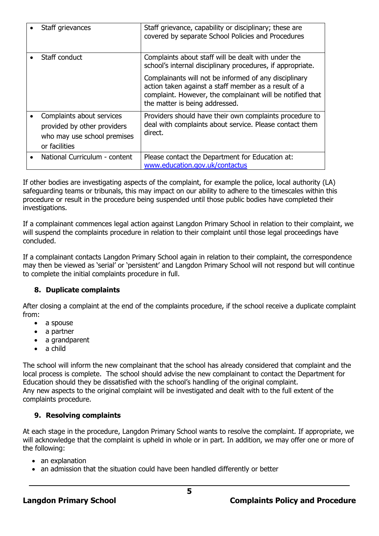| Staff grievances                                                                                         | Staff grievance, capability or disciplinary; these are<br>covered by separate School Policies and Procedures                                                                                                 |
|----------------------------------------------------------------------------------------------------------|--------------------------------------------------------------------------------------------------------------------------------------------------------------------------------------------------------------|
| Staff conduct                                                                                            | Complaints about staff will be dealt with under the<br>school's internal disciplinary procedures, if appropriate.                                                                                            |
|                                                                                                          | Complainants will not be informed of any disciplinary<br>action taken against a staff member as a result of a<br>complaint. However, the complainant will be notified that<br>the matter is being addressed. |
| Complaints about services<br>provided by other providers<br>who may use school premises<br>or facilities | Providers should have their own complaints procedure to<br>deal with complaints about service. Please contact them<br>direct.                                                                                |
| National Curriculum - content                                                                            | Please contact the Department for Education at:<br>www.education.gov.uk/contactus                                                                                                                            |

If other bodies are investigating aspects of the complaint, for example the police, local authority (LA) safeguarding teams or tribunals, this may impact on our ability to adhere to the timescales within this procedure or result in the procedure being suspended until those public bodies have completed their investigations.

If a complainant commences legal action against Langdon Primary School in relation to their complaint, we will suspend the complaints procedure in relation to their complaint until those legal proceedings have concluded.

If a complainant contacts Langdon Primary School again in relation to their complaint, the correspondence may then be viewed as 'serial' or 'persistent' and Langdon Primary School will not respond but will continue to complete the initial complaints procedure in full.

# **8. Duplicate complaints**

After closing a complaint at the end of the complaints procedure, if the school receive a duplicate complaint from:

- a spouse
- a partner
- a grandparent
- a child

The school will inform the new complainant that the school has already considered that complaint and the local process is complete. The school should advise the new complainant to contact the Department for Education should they be dissatisfied with the school's handling of the original complaint. Any new aspects to the original complaint will be investigated and dealt with to the full extent of the complaints procedure.

# **9. Resolving complaints**

At each stage in the procedure, Langdon Primary School wants to resolve the complaint. If appropriate, we will acknowledge that the complaint is upheld in whole or in part. In addition, we may offer one or more of the following:

- an explanation
- an admission that the situation could have been handled differently or better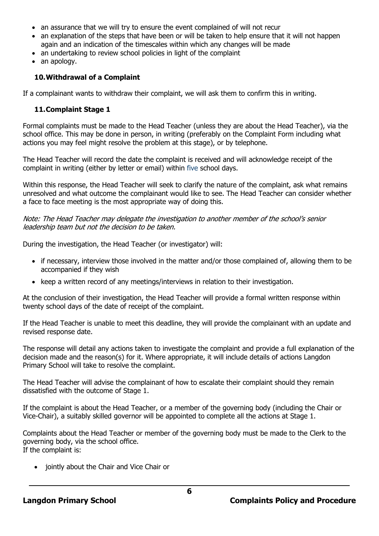- an assurance that we will try to ensure the event complained of will not recur
- an explanation of the steps that have been or will be taken to help ensure that it will not happen again and an indication of the timescales within which any changes will be made
- an undertaking to review school policies in light of the complaint
- an apology.

## **10.Withdrawal of a Complaint**

If a complainant wants to withdraw their complaint, we will ask them to confirm this in writing.

#### **11.Complaint Stage 1**

Formal complaints must be made to the Head Teacher (unless they are about the Head Teacher), via the school office. This may be done in person, in writing (preferably on the Complaint Form including what actions you may feel might resolve the problem at this stage), or by telephone.

The Head Teacher will record the date the complaint is received and will acknowledge receipt of the complaint in writing (either by letter or email) within five school days.

Within this response, the Head Teacher will seek to clarify the nature of the complaint, ask what remains unresolved and what outcome the complainant would like to see. The Head Teacher can consider whether a face to face meeting is the most appropriate way of doing this.

Note: The Head Teacher may delegate the investigation to another member of the school's senior leadership team but not the decision to be taken.

During the investigation, the Head Teacher (or investigator) will:

- if necessary, interview those involved in the matter and/or those complained of, allowing them to be accompanied if they wish
- keep a written record of any meetings/interviews in relation to their investigation.

At the conclusion of their investigation, the Head Teacher will provide a formal written response within twenty school days of the date of receipt of the complaint.

If the Head Teacher is unable to meet this deadline, they will provide the complainant with an update and revised response date.

The response will detail any actions taken to investigate the complaint and provide a full explanation of the decision made and the reason(s) for it. Where appropriate, it will include details of actions Langdon Primary School will take to resolve the complaint.

The Head Teacher will advise the complainant of how to escalate their complaint should they remain dissatisfied with the outcome of Stage 1.

If the complaint is about the Head Teacher, or a member of the governing body (including the Chair or Vice-Chair), a suitably skilled governor will be appointed to complete all the actions at Stage 1.

Complaints about the Head Teacher or member of the governing body must be made to the Clerk to the governing body, via the school office. If the complaint is:

• jointly about the Chair and Vice Chair or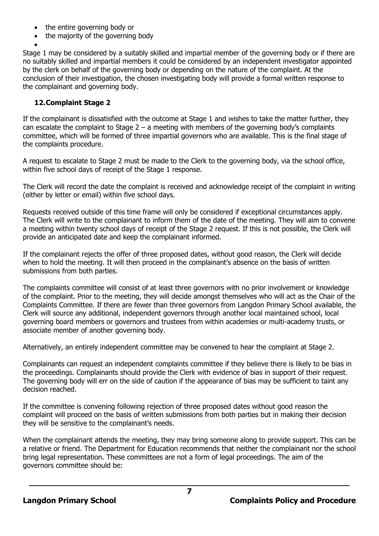- the entire governing body or
- the majority of the governing body

• Stage 1 may be considered by a suitably skilled and impartial member of the governing body or if there are no suitably skilled and impartial members it could be considered by an independent investigator appointed by the clerk on behalf of the governing body or depending on the nature of the complaint. At the conclusion of their investigation, the chosen investigating body will provide a formal written response to the complainant and governing body.

## **12.Complaint Stage 2**

If the complainant is dissatisfied with the outcome at Stage 1 and wishes to take the matter further, they can escalate the complaint to Stage  $2 - a$  meeting with members of the governing body's complaints committee, which will be formed of three impartial governors who are available. This is the final stage of the complaints procedure.

A request to escalate to Stage 2 must be made to the Clerk to the governing body, via the school office, within five school days of receipt of the Stage 1 response.

The Clerk will record the date the complaint is received and acknowledge receipt of the complaint in writing (either by letter or email) within five school days.

Requests received outside of this time frame will only be considered if exceptional circumstances apply. The Clerk will write to the complainant to inform them of the date of the meeting. They will aim to convene a meeting within twenty school days of receipt of the Stage 2 request. If this is not possible, the Clerk will provide an anticipated date and keep the complainant informed.

If the complainant rejects the offer of three proposed dates, without good reason, the Clerk will decide when to hold the meeting. It will then proceed in the complainant's absence on the basis of written submissions from both parties.

The complaints committee will consist of at least three governors with no prior involvement or knowledge of the complaint. Prior to the meeting, they will decide amongst themselves who will act as the Chair of the Complaints Committee. If there are fewer than three governors from Langdon Primary School available, the Clerk will source any additional, independent governors through another local maintained school, local governing board members or governors and trustees from within academies or multi-academy trusts, or associate member of another governing body.

Alternatively, an entirely independent committee may be convened to hear the complaint at Stage 2.

Complainants can request an independent complaints committee if they believe there is likely to be bias in the proceedings. Complainants should provide the Clerk with evidence of bias in support of their request. The governing body will err on the side of caution if the appearance of bias may be sufficient to taint any decision reached.

If the committee is convening following rejection of three proposed dates without good reason the complaint will proceed on the basis of written submissions from both parties but in making their decision they will be sensitive to the complainant's needs.

When the complainant attends the meeting, they may bring someone along to provide support. This can be a relative or friend. The Department for Education recommends that neither the complainant nor the school bring legal representation. These committees are not a form of legal proceedings. The aim of the governors committee should be: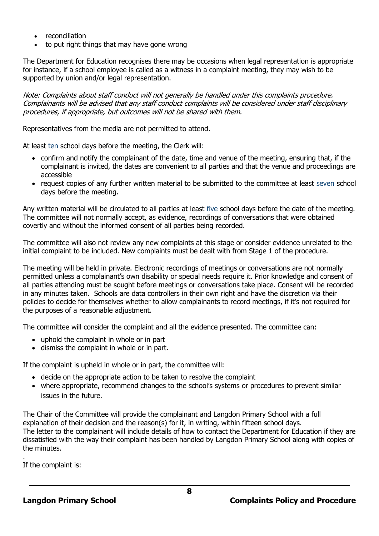- reconciliation
- to put right things that may have gone wrong

The Department for Education recognises there may be occasions when legal representation is appropriate for instance, if a school employee is called as a witness in a complaint meeting, they may wish to be supported by union and/or legal representation.

Note: Complaints about staff conduct will not generally be handled under this complaints procedure. Complainants will be advised that any staff conduct complaints will be considered under staff disciplinary procedures, if appropriate, but outcomes will not be shared with them.

Representatives from the media are not permitted to attend.

At least ten school days before the meeting, the Clerk will:

- confirm and notify the complainant of the date, time and venue of the meeting, ensuring that, if the complainant is invited, the dates are convenient to all parties and that the venue and proceedings are accessible
- request copies of any further written material to be submitted to the committee at least seven school days before the meeting.

Any written material will be circulated to all parties at least five school days before the date of the meeting. The committee will not normally accept, as evidence, recordings of conversations that were obtained covertly and without the informed consent of all parties being recorded.

The committee will also not review any new complaints at this stage or consider evidence unrelated to the initial complaint to be included. New complaints must be dealt with from Stage 1 of the procedure.

The meeting will be held in private. Electronic recordings of meetings or conversations are not normally permitted unless a complainant's own disability or special needs require it. Prior knowledge and consent of all parties attending must be sought before meetings or conversations take place. Consent will be recorded in any minutes taken. Schools are data controllers in their own right and have the discretion via their policies to decide for themselves whether to allow complainants to record meetings, if it's not required for the purposes of a reasonable adjustment.

The committee will consider the complaint and all the evidence presented. The committee can:

- uphold the complaint in whole or in part
- dismiss the complaint in whole or in part.

If the complaint is upheld in whole or in part, the committee will:

- decide on the appropriate action to be taken to resolve the complaint
- where appropriate, recommend changes to the school's systems or procedures to prevent similar issues in the future.

The Chair of the Committee will provide the complainant and Langdon Primary School with a full explanation of their decision and the reason(s) for it, in writing, within fifteen school days. The letter to the complainant will include details of how to contact the Department for Education if they are dissatisfied with the way their complaint has been handled by Langdon Primary School along with copies of the minutes.

. If the complaint is: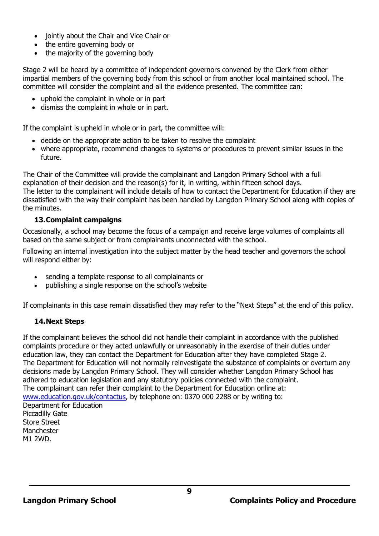- jointly about the Chair and Vice Chair or
- the entire governing body or
- the majority of the governing body

Stage 2 will be heard by a committee of independent governors convened by the Clerk from either impartial members of the governing body from this school or from another local maintained school. The committee will consider the complaint and all the evidence presented. The committee can:

- uphold the complaint in whole or in part
- dismiss the complaint in whole or in part.

If the complaint is upheld in whole or in part, the committee will:

- decide on the appropriate action to be taken to resolve the complaint
- where appropriate, recommend changes to systems or procedures to prevent similar issues in the future.

The Chair of the Committee will provide the complainant and Langdon Primary School with a full explanation of their decision and the reason(s) for it, in writing, within fifteen school days. The letter to the complainant will include details of how to contact the Department for Education if they are dissatisfied with the way their complaint has been handled by Langdon Primary School along with copies of the minutes.

#### **13.Complaint campaigns**

Occasionally, a school may become the focus of a campaign and receive large volumes of complaints all based on the same subject or from complainants unconnected with the school.

Following an internal investigation into the subject matter by the head teacher and governors the school will respond either by:

- sending a template response to all complainants or
- publishing a single response on the school's website

If complainants in this case remain dissatisfied they may refer to the "Next Steps" at the end of this policy.

#### **14.Next Steps**

If the complainant believes the school did not handle their complaint in accordance with the published complaints procedure or they acted unlawfully or unreasonably in the exercise of their duties under education law, they can contact the Department for Education after they have completed Stage 2. The Department for Education will not normally reinvestigate the substance of complaints or overturn any decisions made by Langdon Primary School. They will consider whether Langdon Primary School has adhered to education legislation and any statutory policies connected with the complaint. The complainant can refer their complaint to the Department for Education online at: [www.education.gov.uk/contactus,](http://www.education.gov.uk/contactus) by telephone on: 0370 000 2288 or by writing to: Department for Education Piccadilly Gate Store Street Manchester M1 2WD.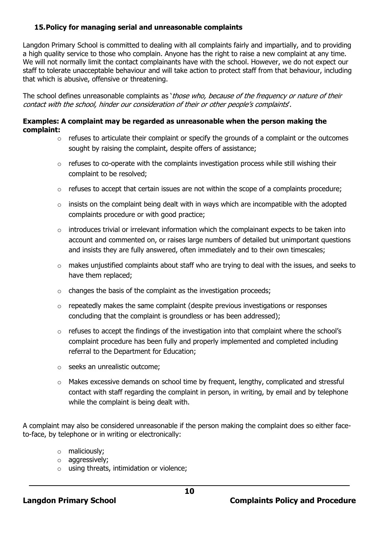## **15.Policy for managing serial and unreasonable complaints**

Langdon Primary School is committed to dealing with all complaints fairly and impartially, and to providing a high quality service to those who complain. Anyone has the right to raise a new complaint at any time. We will not normally limit the contact complainants have with the school. However, we do not expect our staff to tolerate unacceptable behaviour and will take action to protect staff from that behaviour, including that which is abusive, offensive or threatening.

The school defines unreasonable complaints as 'those who, because of the frequency or nature of their contact with the school, hinder our consideration of their or other people's complaints'.

#### **Examples: A complaint may be regarded as unreasonable when the person making the complaint:**

- $\circ$  refuses to articulate their complaint or specify the grounds of a complaint or the outcomes sought by raising the complaint, despite offers of assistance;
- o refuses to co-operate with the complaints investigation process while still wishing their complaint to be resolved;
- $\circ$  refuses to accept that certain issues are not within the scope of a complaints procedure;
- $\circ$  insists on the complaint being dealt with in ways which are incompatible with the adopted complaints procedure or with good practice;
- $\circ$  introduces trivial or irrelevant information which the complainant expects to be taken into account and commented on, or raises large numbers of detailed but unimportant questions and insists they are fully answered, often immediately and to their own timescales;
- o makes unjustified complaints about staff who are trying to deal with the issues, and seeks to have them replaced;
- $\circ$  changes the basis of the complaint as the investigation proceeds;
- o repeatedly makes the same complaint (despite previous investigations or responses concluding that the complaint is groundless or has been addressed);
- o refuses to accept the findings of the investigation into that complaint where the school's complaint procedure has been fully and properly implemented and completed including referral to the Department for Education;
- o seeks an unrealistic outcome;
- $\circ$  Makes excessive demands on school time by frequent, lengthy, complicated and stressful contact with staff regarding the complaint in person, in writing, by email and by telephone while the complaint is being dealt with.

A complaint may also be considered unreasonable if the person making the complaint does so either faceto-face, by telephone or in writing or electronically:

- o maliciously;
- o aggressively;
- $\circ$  using threats, intimidation or violence;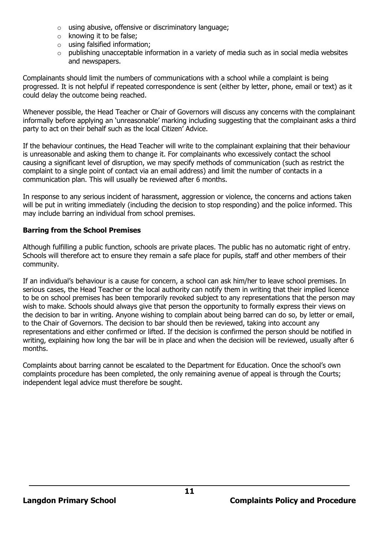- o using abusive, offensive or discriminatory language;
- o knowing it to be false;
- o using falsified information;
- o publishing unacceptable information in a variety of media such as in social media websites and newspapers.

Complainants should limit the numbers of communications with a school while a complaint is being progressed. It is not helpful if repeated correspondence is sent (either by letter, phone, email or text) as it could delay the outcome being reached.

Whenever possible, the Head Teacher or Chair of Governors will discuss any concerns with the complainant informally before applying an 'unreasonable' marking including suggesting that the complainant asks a third party to act on their behalf such as the local Citizen' Advice.

If the behaviour continues, the Head Teacher will write to the complainant explaining that their behaviour is unreasonable and asking them to change it. For complainants who excessively contact the school causing a significant level of disruption, we may specify methods of communication (such as restrict the complaint to a single point of contact via an email address) and limit the number of contacts in a communication plan. This will usually be reviewed after 6 months.

In response to any serious incident of harassment, aggression or violence, the concerns and actions taken will be put in writing immediately (including the decision to stop responding) and the police informed. This may include barring an individual from school premises.

# **Barring from the School Premises**

Although fulfilling a public function, schools are private places. The public has no automatic right of entry. Schools will therefore act to ensure they remain a safe place for pupils, staff and other members of their community.

If an individual's behaviour is a cause for concern, a school can ask him/her to leave school premises. In serious cases, the Head Teacher or the local authority can notify them in writing that their implied licence to be on school premises has been temporarily revoked subject to any representations that the person may wish to make. Schools should always give that person the opportunity to formally express their views on the decision to bar in writing. Anyone wishing to complain about being barred can do so, by letter or email, to the Chair of Governors. The decision to bar should then be reviewed, taking into account any representations and either confirmed or lifted. If the decision is confirmed the person should be notified in writing, explaining how long the bar will be in place and when the decision will be reviewed, usually after 6 months.

Complaints about barring cannot be escalated to the Department for Education. Once the school's own complaints procedure has been completed, the only remaining avenue of appeal is through the Courts; independent legal advice must therefore be sought.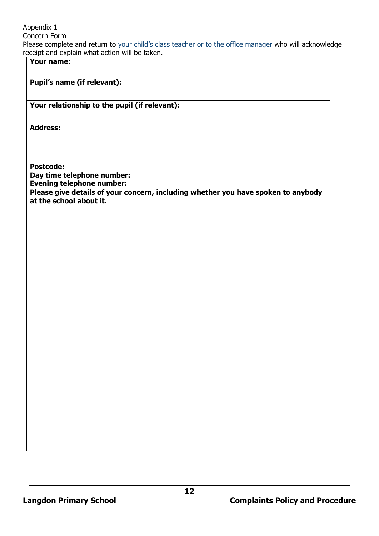Appendix 1

Concern Form

Please complete and return to your child's class teacher or to the office manager who will acknowledge receipt and explain what action will be taken.

**Your name:**

# **Pupil's name (if relevant):**

## **Your relationship to the pupil (if relevant):**

**Address:** 

**Postcode: Day time telephone number: Evening telephone number: Please give details of your concern, including whether you have spoken to anybody at the school about it.**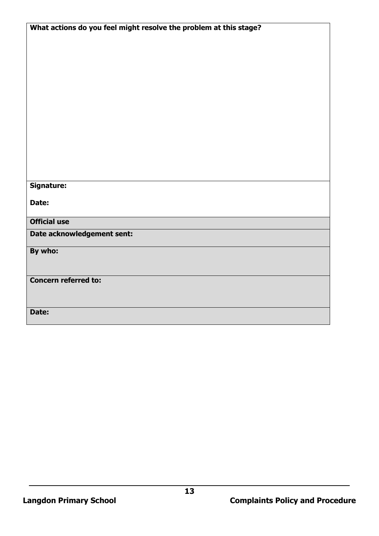| What actions do you feel might resolve the problem at this stage? |  |  |
|-------------------------------------------------------------------|--|--|
|                                                                   |  |  |
|                                                                   |  |  |
|                                                                   |  |  |
|                                                                   |  |  |
|                                                                   |  |  |
|                                                                   |  |  |
|                                                                   |  |  |
|                                                                   |  |  |
|                                                                   |  |  |
|                                                                   |  |  |
|                                                                   |  |  |
|                                                                   |  |  |
|                                                                   |  |  |
|                                                                   |  |  |
|                                                                   |  |  |
| Signature:                                                        |  |  |
| Date:                                                             |  |  |
|                                                                   |  |  |
| <b>Official use</b>                                               |  |  |
|                                                                   |  |  |
| Date acknowledgement sent:                                        |  |  |
| By who:                                                           |  |  |
|                                                                   |  |  |
|                                                                   |  |  |
| <b>Concern referred to:</b>                                       |  |  |
|                                                                   |  |  |
|                                                                   |  |  |
| Date:                                                             |  |  |
|                                                                   |  |  |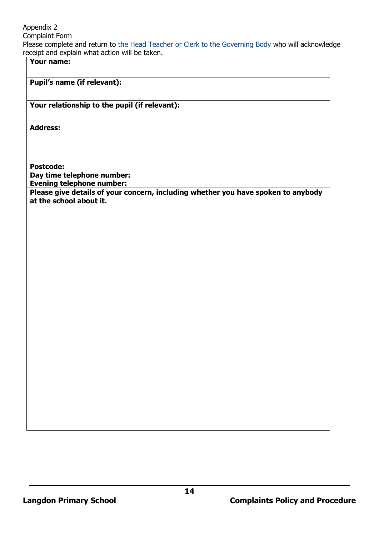Appendix 2

Complaint Form

Please complete and return to the Head Teacher or Clerk to the Governing Body who will acknowledge receipt and explain what action will be taken.

**Your name:**

# **Pupil's name (if relevant):**

## **Your relationship to the pupil (if relevant):**

**Address:** 

**Postcode: Day time telephone number: Evening telephone number: Please give details of your concern, including whether you have spoken to anybody at the school about it.**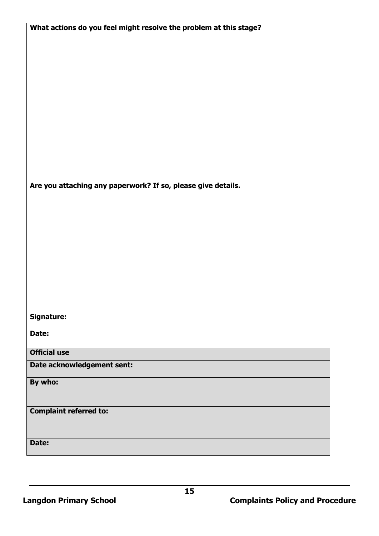| What actions do you feel might resolve the problem at this stage? |
|-------------------------------------------------------------------|
|                                                                   |
|                                                                   |
|                                                                   |
|                                                                   |
|                                                                   |
|                                                                   |
|                                                                   |
|                                                                   |
|                                                                   |
|                                                                   |
|                                                                   |
|                                                                   |
|                                                                   |
|                                                                   |
|                                                                   |
|                                                                   |
| Are you attaching any paperwork? If so, please give details.      |
|                                                                   |
|                                                                   |
|                                                                   |
|                                                                   |
|                                                                   |
|                                                                   |
|                                                                   |
|                                                                   |
|                                                                   |
|                                                                   |
|                                                                   |
|                                                                   |
|                                                                   |
| <b>Signature:</b>                                                 |
| Date:                                                             |
|                                                                   |
| <b>Official use</b>                                               |
|                                                                   |
| Date acknowledgement sent:                                        |
|                                                                   |
| By who:                                                           |
|                                                                   |
|                                                                   |
| <b>Complaint referred to:</b>                                     |
|                                                                   |
|                                                                   |
| Date:                                                             |
|                                                                   |
|                                                                   |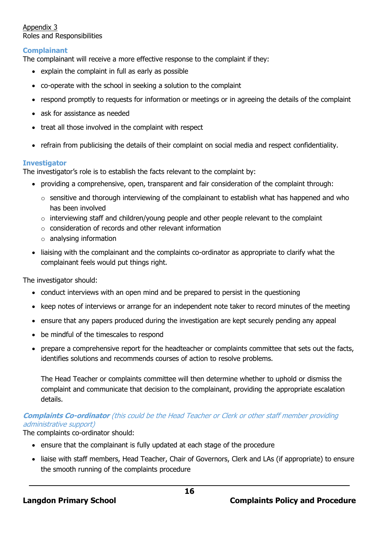Appendix 3 Roles and Responsibilities

## **Complainant**

The complainant will receive a more effective response to the complaint if they:

- explain the complaint in full as early as possible
- co-operate with the school in seeking a solution to the complaint
- respond promptly to requests for information or meetings or in agreeing the details of the complaint
- ask for assistance as needed
- treat all those involved in the complaint with respect
- refrain from publicising the details of their complaint on social media and respect confidentiality.

#### **Investigator**

The investigator's role is to establish the facts relevant to the complaint by:

- providing a comprehensive, open, transparent and fair consideration of the complaint through:
	- o sensitive and thorough interviewing of the complainant to establish what has happened and who has been involved
	- $\circ$  interviewing staff and children/young people and other people relevant to the complaint
	- $\circ$  consideration of records and other relevant information
	- o analysing information
- liaising with the complainant and the complaints co-ordinator as appropriate to clarify what the complainant feels would put things right.

The investigator should:

- conduct interviews with an open mind and be prepared to persist in the questioning
- keep notes of interviews or arrange for an independent note taker to record minutes of the meeting
- ensure that any papers produced during the investigation are kept securely pending any appeal
- be mindful of the timescales to respond
- prepare a comprehensive report for the headteacher or complaints committee that sets out the facts, identifies solutions and recommends courses of action to resolve problems.

The Head Teacher or complaints committee will then determine whether to uphold or dismiss the complaint and communicate that decision to the complainant, providing the appropriate escalation details.

## **Complaints Co-ordinator** (this could be the Head Teacher or Clerk or other staff member providing administrative support)

The complaints co-ordinator should:

- ensure that the complainant is fully updated at each stage of the procedure
- liaise with staff members, Head Teacher, Chair of Governors, Clerk and LAs (if appropriate) to ensure the smooth running of the complaints procedure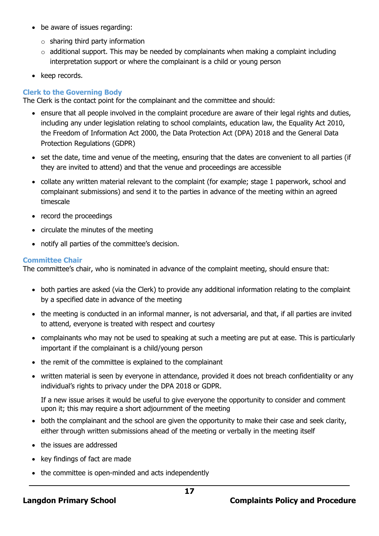- be aware of issues regarding:
	- $\circ$  sharing third party information
	- $\circ$  additional support. This may be needed by complainants when making a complaint including interpretation support or where the complainant is a child or young person
- keep records.

# **Clerk to the Governing Body**

The Clerk is the contact point for the complainant and the committee and should:

- ensure that all people involved in the complaint procedure are aware of their legal rights and duties, including any under legislation relating to school complaints, education law, the Equality Act 2010, the Freedom of Information Act 2000, the Data Protection Act (DPA) 2018 and the General Data Protection Regulations (GDPR)
- set the date, time and venue of the meeting, ensuring that the dates are convenient to all parties (if they are invited to attend) and that the venue and proceedings are accessible
- collate any written material relevant to the complaint (for example; stage 1 paperwork, school and complainant submissions) and send it to the parties in advance of the meeting within an agreed timescale
- record the proceedings
- circulate the minutes of the meeting
- notify all parties of the committee's decision.

#### **Committee Chair**

The committee's chair, who is nominated in advance of the complaint meeting, should ensure that:

- both parties are asked (via the Clerk) to provide any additional information relating to the complaint by a specified date in advance of the meeting
- the meeting is conducted in an informal manner, is not adversarial, and that, if all parties are invited to attend, everyone is treated with respect and courtesy
- complainants who may not be used to speaking at such a meeting are put at ease. This is particularly important if the complainant is a child/young person
- the remit of the committee is explained to the complainant
- written material is seen by everyone in attendance, provided it does not breach confidentiality or any individual's rights to privacy under the DPA 2018 or GDPR.

If a new issue arises it would be useful to give everyone the opportunity to consider and comment upon it; this may require a short adjournment of the meeting

- both the complainant and the school are given the opportunity to make their case and seek clarity, either through written submissions ahead of the meeting or verbally in the meeting itself
- the issues are addressed
- key findings of fact are made
- the committee is open-minded and acts independently